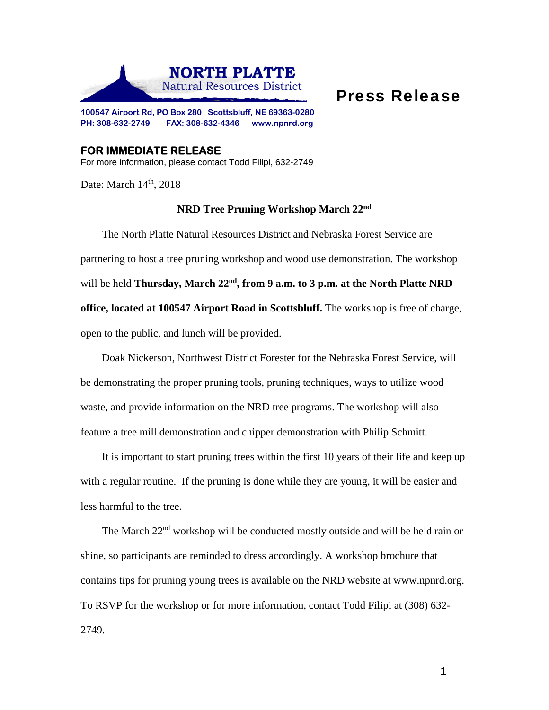

## Press Release

**100547 Airport Rd, PO Box 280 Scottsbluff, NE 69363-0280 PH: 308-632-2749 FAX: 308-632-4346 www.npnrd.org** 

**FOR IMMEDIATE RELEASE**  For more information, please contact Todd Filipi, 632-2749

Date: March  $14<sup>th</sup>$ , 2018

## **NRD Tree Pruning Workshop March 22nd**

The North Platte Natural Resources District and Nebraska Forest Service are partnering to host a tree pruning workshop and wood use demonstration. The workshop will be held **Thursday, March 22<sup>nd</sup>, from 9 a.m. to 3 p.m. at the North Platte NRD office, located at 100547 Airport Road in Scottsbluff.** The workshop is free of charge, open to the public, and lunch will be provided.

Doak Nickerson, Northwest District Forester for the Nebraska Forest Service, will be demonstrating the proper pruning tools, pruning techniques, ways to utilize wood waste, and provide information on the NRD tree programs. The workshop will also feature a tree mill demonstration and chipper demonstration with Philip Schmitt.

It is important to start pruning trees within the first 10 years of their life and keep up with a regular routine. If the pruning is done while they are young, it will be easier and less harmful to the tree.

The March 22nd workshop will be conducted mostly outside and will be held rain or shine, so participants are reminded to dress accordingly. A workshop brochure that contains tips for pruning young trees is available on the NRD website at www.npnrd.org. To RSVP for the workshop or for more information, contact Todd Filipi at (308) 632- 2749.

1